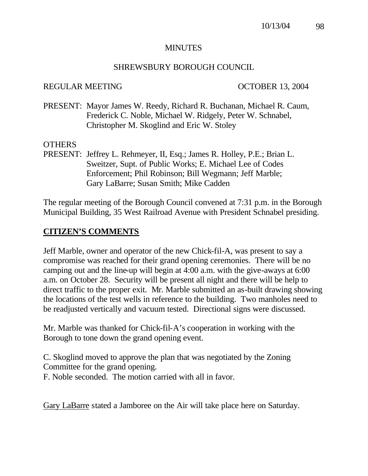#### **MINUTES**

#### SHREWSBURY BOROUGH COUNCIL

#### REGULAR MEETING OCTOBER 13, 2004

PRESENT: Mayor James W. Reedy, Richard R. Buchanan, Michael R. Caum, Frederick C. Noble, Michael W. Ridgely, Peter W. Schnabel, Christopher M. Skoglind and Eric W. Stoley

#### OTHERS

PRESENT: Jeffrey L. Rehmeyer, II, Esq.; James R. Holley, P.E.; Brian L. Sweitzer, Supt. of Public Works; E. Michael Lee of Codes Enforcement; Phil Robinson; Bill Wegmann; Jeff Marble; Gary LaBarre; Susan Smith; Mike Cadden

The regular meeting of the Borough Council convened at 7:31 p.m. in the Borough Municipal Building, 35 West Railroad Avenue with President Schnabel presiding.

#### **CITIZEN'S COMMENTS**

Jeff Marble, owner and operator of the new Chick-fil-A, was present to say a compromise was reached for their grand opening ceremonies. There will be no camping out and the line-up will begin at 4:00 a.m. with the give-aways at 6:00 a.m. on October 28. Security will be present all night and there will be help to direct traffic to the proper exit. Mr. Marble submitted an as-built drawing showing the locations of the test wells in reference to the building. Two manholes need to be readjusted vertically and vacuum tested. Directional signs were discussed.

Mr. Marble was thanked for Chick-fil-A's cooperation in working with the Borough to tone down the grand opening event.

C. Skoglind moved to approve the plan that was negotiated by the Zoning Committee for the grand opening.

F. Noble seconded. The motion carried with all in favor.

Gary LaBarre stated a Jamboree on the Air will take place here on Saturday.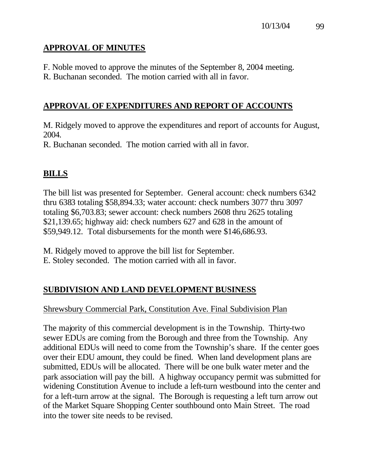## **APPROVAL OF MINUTES**

F. Noble moved to approve the minutes of the September 8, 2004 meeting.

R. Buchanan seconded. The motion carried with all in favor.

## **APPROVAL OF EXPENDITURES AND REPORT OF ACCOUNTS**

M. Ridgely moved to approve the expenditures and report of accounts for August, 2004.

R. Buchanan seconded. The motion carried with all in favor.

## **BILLS**

The bill list was presented for September. General account: check numbers 6342 thru 6383 totaling \$58,894.33; water account: check numbers 3077 thru 3097 totaling \$6,703.83; sewer account: check numbers 2608 thru 2625 totaling \$21,139.65; highway aid: check numbers 627 and 628 in the amount of \$59,949.12. Total disbursements for the month were \$146,686.93.

M. Ridgely moved to approve the bill list for September. E. Stoley seconded. The motion carried with all in favor.

## **SUBDIVISION AND LAND DEVELOPMENT BUSINESS**

## Shrewsbury Commercial Park, Constitution Ave. Final Subdivision Plan

The majority of this commercial development is in the Township. Thirty-two sewer EDUs are coming from the Borough and three from the Township. Any additional EDUs will need to come from the Township's share. If the center goes over their EDU amount, they could be fined. When land development plans are submitted, EDUs will be allocated. There will be one bulk water meter and the park association will pay the bill. A highway occupancy permit was submitted for widening Constitution Avenue to include a left-turn westbound into the center and for a left-turn arrow at the signal. The Borough is requesting a left turn arrow out of the Market Square Shopping Center southbound onto Main Street. The road into the tower site needs to be revised.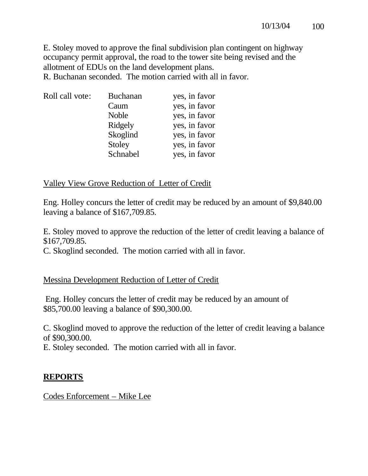E. Stoley moved to approve the final subdivision plan contingent on highway occupancy permit approval, the road to the tower site being revised and the allotment of EDUs on the land development plans.

R. Buchanan seconded. The motion carried with all in favor.

| Roll call vote: | <b>Buchanan</b> | yes, in favor |
|-----------------|-----------------|---------------|
|                 | Caum            | yes, in favor |
|                 | Noble           | yes, in favor |
|                 | Ridgely         | yes, in favor |
|                 | Skoglind        | yes, in favor |
|                 | Stoley          | yes, in favor |
|                 | Schnabel        | yes, in favor |

#### Valley View Grove Reduction of Letter of Credit

Eng. Holley concurs the letter of credit may be reduced by an amount of \$9,840.00 leaving a balance of \$167,709.85.

E. Stoley moved to approve the reduction of the letter of credit leaving a balance of \$167,709.85.

C. Skoglind seconded. The motion carried with all in favor.

## Messina Development Reduction of Letter of Credit

 Eng. Holley concurs the letter of credit may be reduced by an amount of \$85,700.00 leaving a balance of \$90,300.00.

C. Skoglind moved to approve the reduction of the letter of credit leaving a balance of \$90,300.00.

E. Stoley seconded. The motion carried with all in favor.

## **REPORTS**

Codes Enforcement – Mike Lee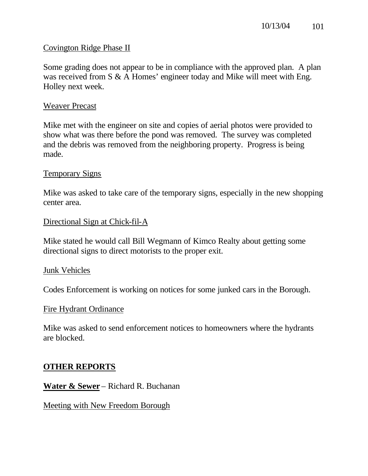#### Covington Ridge Phase II

Some grading does not appear to be in compliance with the approved plan. A plan was received from S & A Homes' engineer today and Mike will meet with Eng. Holley next week.

#### Weaver Precast

Mike met with the engineer on site and copies of aerial photos were provided to show what was there before the pond was removed. The survey was completed and the debris was removed from the neighboring property. Progress is being made.

#### Temporary Signs

Mike was asked to take care of the temporary signs, especially in the new shopping center area.

#### Directional Sign at Chick-fil-A

Mike stated he would call Bill Wegmann of Kimco Realty about getting some directional signs to direct motorists to the proper exit.

#### Junk Vehicles

Codes Enforcement is working on notices for some junked cars in the Borough.

#### Fire Hydrant Ordinance

Mike was asked to send enforcement notices to homeowners where the hydrants are blocked.

## **OTHER REPORTS**

**Water & Sewer** – Richard R. Buchanan

Meeting with New Freedom Borough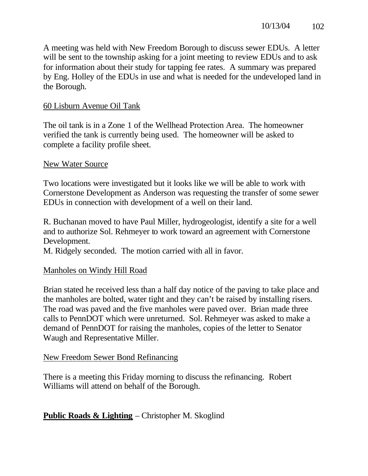A meeting was held with New Freedom Borough to discuss sewer EDUs. A letter will be sent to the township asking for a joint meeting to review EDUs and to ask for information about their study for tapping fee rates. A summary was prepared by Eng. Holley of the EDUs in use and what is needed for the undeveloped land in the Borough.

## 60 Lisburn Avenue Oil Tank

The oil tank is in a Zone 1 of the Wellhead Protection Area. The homeowner verified the tank is currently being used. The homeowner will be asked to complete a facility profile sheet.

#### New Water Source

Two locations were investigated but it looks like we will be able to work with Cornerstone Development as Anderson was requesting the transfer of some sewer EDUs in connection with development of a well on their land.

R. Buchanan moved to have Paul Miller, hydrogeologist, identify a site for a well and to authorize Sol. Rehmeyer to work toward an agreement with Cornerstone Development.

M. Ridgely seconded. The motion carried with all in favor.

#### Manholes on Windy Hill Road

Brian stated he received less than a half day notice of the paving to take place and the manholes are bolted, water tight and they can't be raised by installing risers. The road was paved and the five manholes were paved over. Brian made three calls to PennDOT which were unreturned. Sol. Rehmeyer was asked to make a demand of PennDOT for raising the manholes, copies of the letter to Senator Waugh and Representative Miller.

#### New Freedom Sewer Bond Refinancing

There is a meeting this Friday morning to discuss the refinancing. Robert Williams will attend on behalf of the Borough.

## **Public Roads & Lighting** – Christopher M. Skoglind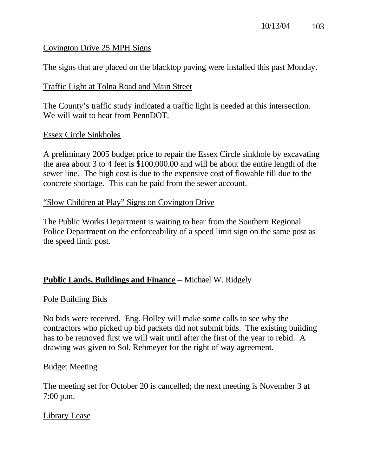## Covington Drive 25 MPH Signs

The signs that are placed on the blacktop paving were installed this past Monday.

## Traffic Light at Tolna Road and Main Street

The County's traffic study indicated a traffic light is needed at this intersection. We will wait to hear from PennDOT.

#### Essex Circle Sinkholes

A preliminary 2005 budget price to repair the Essex Circle sinkhole by excavating the area about 3 to 4 feet is \$100,000.00 and will be about the entire length of the sewer line. The high cost is due to the expensive cost of flowable fill due to the concrete shortage. This can be paid from the sewer account.

#### "Slow Children at Play" Signs on Covington Drive

The Public Works Department is waiting to hear from the Southern Regional Police Department on the enforceability of a speed limit sign on the same post as the speed limit post.

## **Public Lands, Buildings and Finance** – Michael W. Ridgely

## Pole Building Bids

No bids were received. Eng. Holley will make some calls to see why the contractors who picked up bid packets did not submit bids. The existing building has to be removed first we will wait until after the first of the year to rebid. A drawing was given to Sol. Rehmeyer for the right of way agreement.

#### Budget Meeting

The meeting set for October 20 is cancelled; the next meeting is November 3 at 7:00 p.m.

## Library Lease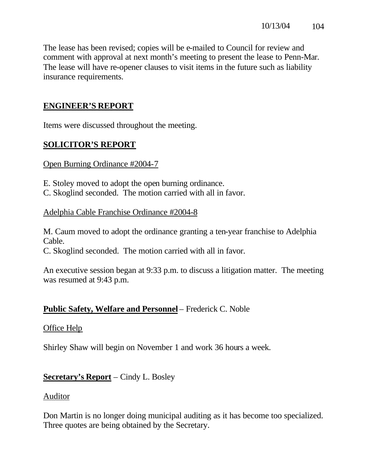The lease has been revised; copies will be e-mailed to Council for review and comment with approval at next month's meeting to present the lease to Penn-Mar. The lease will have re-opener clauses to visit items in the future such as liability insurance requirements.

## **ENGINEER'S REPORT**

Items were discussed throughout the meeting.

## **SOLICITOR'S REPORT**

#### Open Burning Ordinance #2004-7

E. Stoley moved to adopt the open burning ordinance.

C. Skoglind seconded. The motion carried with all in favor.

#### Adelphia Cable Franchise Ordinance #2004-8

M. Caum moved to adopt the ordinance granting a ten-year franchise to Adelphia Cable.

C. Skoglind seconded. The motion carried with all in favor.

An executive session began at 9:33 p.m. to discuss a litigation matter. The meeting was resumed at 9:43 p.m.

## **Public Safety, Welfare and Personnel** – Frederick C. Noble

## Office Help

Shirley Shaw will begin on November 1 and work 36 hours a week.

## **Secretary's Report** – Cindy L. Bosley

#### Auditor

Don Martin is no longer doing municipal auditing as it has become too specialized. Three quotes are being obtained by the Secretary.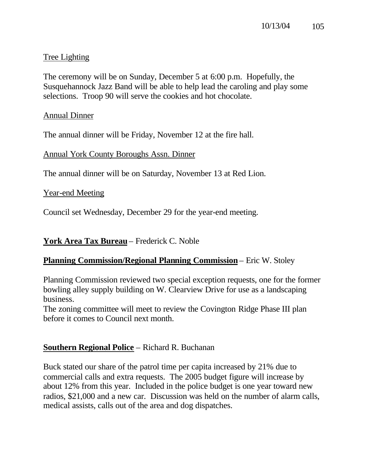## Tree Lighting

The ceremony will be on Sunday, December 5 at 6:00 p.m. Hopefully, the Susquehannock Jazz Band will be able to help lead the caroling and play some selections. Troop 90 will serve the cookies and hot chocolate.

## Annual Dinner

The annual dinner will be Friday, November 12 at the fire hall.

Annual York County Boroughs Assn. Dinner

The annual dinner will be on Saturday, November 13 at Red Lion.

Year-end Meeting

Council set Wednesday, December 29 for the year-end meeting.

**York Area Tax Bureau** – Frederick C. Noble

## **Planning Commission/Regional Planning Commission** – Eric W. Stoley

Planning Commission reviewed two special exception requests, one for the former bowling alley supply building on W. Clearview Drive for use as a landscaping business.

The zoning committee will meet to review the Covington Ridge Phase III plan before it comes to Council next month.

## **Southern Regional Police** – Richard R. Buchanan

Buck stated our share of the patrol time per capita increased by 21% due to commercial calls and extra requests. The 2005 budget figure will increase by about 12% from this year. Included in the police budget is one year toward new radios, \$21,000 and a new car. Discussion was held on the number of alarm calls, medical assists, calls out of the area and dog dispatches.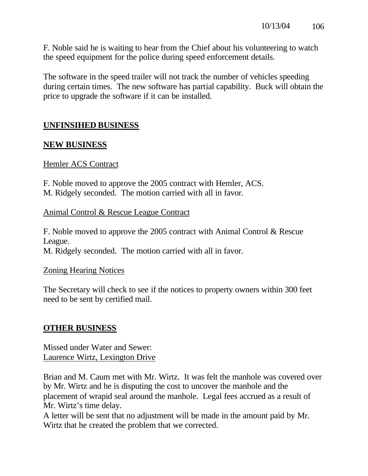F. Noble said he is waiting to hear from the Chief about his volunteering to watch the speed equipment for the police during speed enforcement details.

The software in the speed trailer will not track the number of vehicles speeding during certain times. The new software has partial capability. Buck will obtain the price to upgrade the software if it can be installed.

## **UNFINSIHED BUSINESS**

## **NEW BUSINESS**

#### Hemler ACS Contract

F. Noble moved to approve the 2005 contract with Hemler, ACS. M. Ridgely seconded. The motion carried with all in favor.

#### Animal Control & Rescue League Contract

F. Noble moved to approve the 2005 contract with Animal Control & Rescue League. M. Ridgely seconded. The motion carried with all in favor.

#### Zoning Hearing Notices

The Secretary will check to see if the notices to property owners within 300 feet need to be sent by certified mail.

## **OTHER BUSINESS**

Missed under Water and Sewer: Laurence Wirtz, Lexington Drive

Brian and M. Caum met with Mr. Wirtz. It was felt the manhole was covered over by Mr. Wirtz and he is disputing the cost to uncover the manhole and the placement of wrapid seal around the manhole. Legal fees accrued as a result of Mr. Wirtz's time delay.

A letter will be sent that no adjustment will be made in the amount paid by Mr. Wirtz that he created the problem that we corrected.